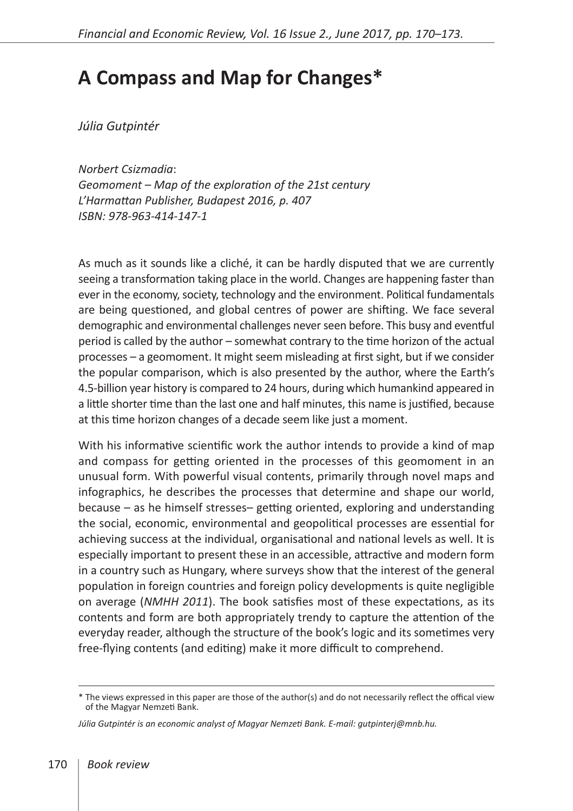## **A Compass and Map for Changes\***

*Júlia Gutpintér*

*Norbert Csizmadia*: *Geomoment – Map of the exploration of the 21st century L'Harmattan Publisher, Budapest 2016, p. 407 ISBN: 978-963-414-147-1* 

As much as it sounds like a cliché, it can be hardly disputed that we are currently seeing a transformation taking place in the world. Changes are happening faster than ever in the economy, society, technology and the environment. Political fundamentals are being questioned, and global centres of power are shifting. We face several demographic and environmental challenges never seen before. This busy and eventful period is called by the author – somewhat contrary to the time horizon of the actual processes – a geomoment. It might seem misleading at first sight, but if we consider the popular comparison, which is also presented by the author, where the Earth's 4.5-billion year history is compared to 24 hours, during which humankind appeared in a little shorter time than the last one and half minutes, this name is justified, because at this time horizon changes of a decade seem like just a moment.

With his informative scientific work the author intends to provide a kind of map and compass for getting oriented in the processes of this geomoment in an unusual form. With powerful visual contents, primarily through novel maps and infographics, he describes the processes that determine and shape our world, because – as he himself stresses– getting oriented, exploring and understanding the social, economic, environmental and geopolitical processes are essential for achieving success at the individual, organisational and national levels as well. It is especially important to present these in an accessible, attractive and modern form in a country such as Hungary, where surveys show that the interest of the general population in foreign countries and foreign policy developments is quite negligible on average (*NMHH 2011*). The book satisfies most of these expectations, as its contents and form are both appropriately trendy to capture the attention of the everyday reader, although the structure of the book's logic and its sometimes very free-flying contents (and editing) make it more difficult to comprehend.

<sup>\*</sup> The views expressed in this paper are those of the author(s) and do not necessarily reflect the offical view of the Magyar Nemzeti Bank.

*Júlia Gutpintér is an economic analyst of Magyar Nemzeti Bank. E-mail: gutpinterj@mnb.hu.*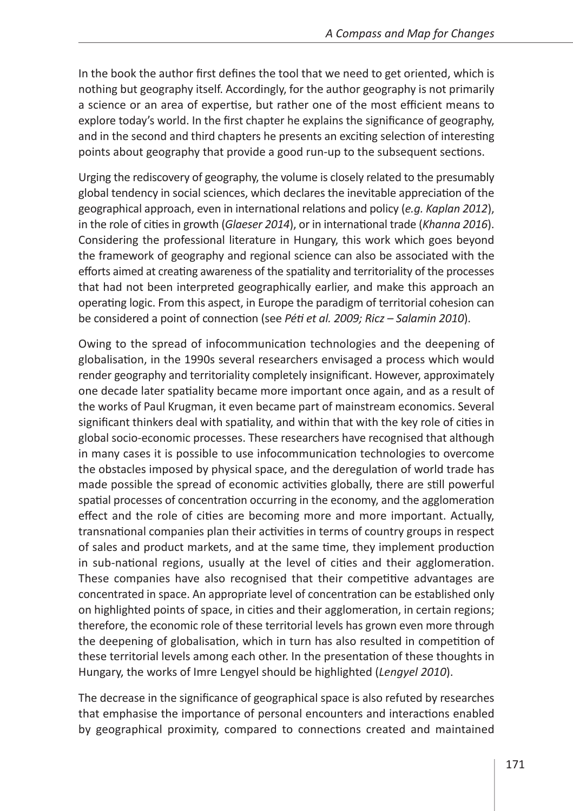In the book the author first defines the tool that we need to get oriented, which is nothing but geography itself. Accordingly, for the author geography is not primarily a science or an area of expertise, but rather one of the most efficient means to explore today's world. In the first chapter he explains the significance of geography, and in the second and third chapters he presents an exciting selection of interesting points about geography that provide a good run-up to the subsequent sections.

Urging the rediscovery of geography, the volume is closely related to the presumably global tendency in social sciences, which declares the inevitable appreciation of the geographical approach, even in international relations and policy (*e.g. Kaplan 2012*), in the role of cities in growth (*Glaeser 2014*), or in international trade (*Khanna 2016*). Considering the professional literature in Hungary, this work which goes beyond the framework of geography and regional science can also be associated with the efforts aimed at creating awareness of the spatiality and territoriality of the processes that had not been interpreted geographically earlier, and make this approach an operating logic. From this aspect, in Europe the paradigm of territorial cohesion can be considered a point of connection (see *Péti et al. 2009; Ricz – Salamin 2010*).

Owing to the spread of infocommunication technologies and the deepening of globalisation, in the 1990s several researchers envisaged a process which would render geography and territoriality completely insignificant. However, approximately one decade later spatiality became more important once again, and as a result of the works of Paul Krugman, it even became part of mainstream economics. Several significant thinkers deal with spatiality, and within that with the key role of cities in global socio-economic processes. These researchers have recognised that although in many cases it is possible to use infocommunication technologies to overcome the obstacles imposed by physical space, and the deregulation of world trade has made possible the spread of economic activities globally, there are still powerful spatial processes of concentration occurring in the economy, and the agglomeration effect and the role of cities are becoming more and more important. Actually, transnational companies plan their activities in terms of country groups in respect of sales and product markets, and at the same time, they implement production in sub-national regions, usually at the level of cities and their agglomeration. These companies have also recognised that their competitive advantages are concentrated in space. An appropriate level of concentration can be established only on highlighted points of space, in cities and their agglomeration, in certain regions; therefore, the economic role of these territorial levels has grown even more through the deepening of globalisation, which in turn has also resulted in competition of these territorial levels among each other. In the presentation of these thoughts in Hungary, the works of Imre Lengyel should be highlighted (*Lengyel 2010*).

The decrease in the significance of geographical space is also refuted by researches that emphasise the importance of personal encounters and interactions enabled by geographical proximity, compared to connections created and maintained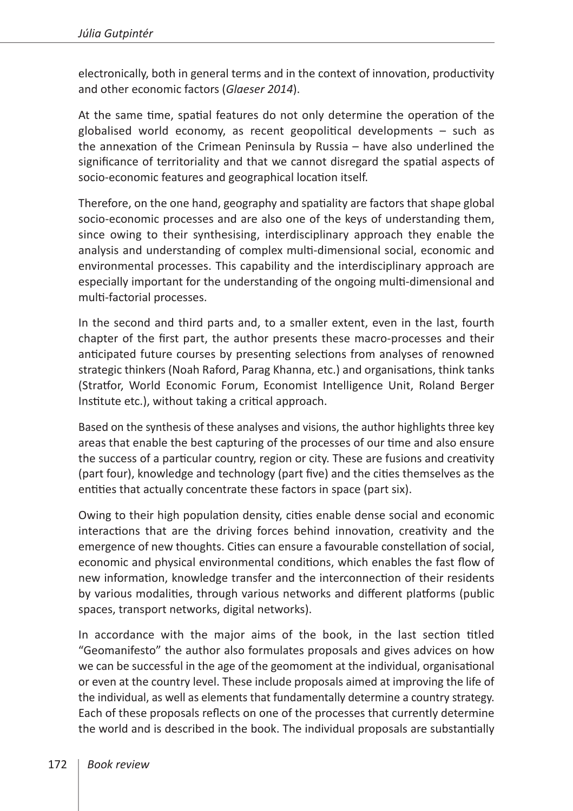electronically, both in general terms and in the context of innovation, productivity and other economic factors (*Glaeser 2014*).

At the same time, spatial features do not only determine the operation of the globalised world economy, as recent geopolitical developments – such as the annexation of the Crimean Peninsula by Russia – have also underlined the significance of territoriality and that we cannot disregard the spatial aspects of socio-economic features and geographical location itself.

Therefore, on the one hand, geography and spatiality are factors that shape global socio-economic processes and are also one of the keys of understanding them, since owing to their synthesising, interdisciplinary approach they enable the analysis and understanding of complex multi-dimensional social, economic and environmental processes. This capability and the interdisciplinary approach are especially important for the understanding of the ongoing multi-dimensional and multi-factorial processes.

In the second and third parts and, to a smaller extent, even in the last, fourth chapter of the first part, the author presents these macro-processes and their anticipated future courses by presenting selections from analyses of renowned strategic thinkers (Noah Raford, Parag Khanna, etc.) and organisations, think tanks (Stratfor, World Economic Forum, Economist Intelligence Unit, Roland Berger Institute etc.), without taking a critical approach.

Based on the synthesis of these analyses and visions, the author highlights three key areas that enable the best capturing of the processes of our time and also ensure the success of a particular country, region or city. These are fusions and creativity (part four), knowledge and technology (part five) and the cities themselves as the entities that actually concentrate these factors in space (part six).

Owing to their high population density, cities enable dense social and economic interactions that are the driving forces behind innovation, creativity and the emergence of new thoughts. Cities can ensure a favourable constellation of social, economic and physical environmental conditions, which enables the fast flow of new information, knowledge transfer and the interconnection of their residents by various modalities, through various networks and different platforms (public spaces, transport networks, digital networks).

In accordance with the major aims of the book, in the last section titled "Geomanifesto" the author also formulates proposals and gives advices on how we can be successful in the age of the geomoment at the individual, organisational or even at the country level. These include proposals aimed at improving the life of the individual, as well as elements that fundamentally determine a country strategy. Each of these proposals reflects on one of the processes that currently determine the world and is described in the book. The individual proposals are substantially